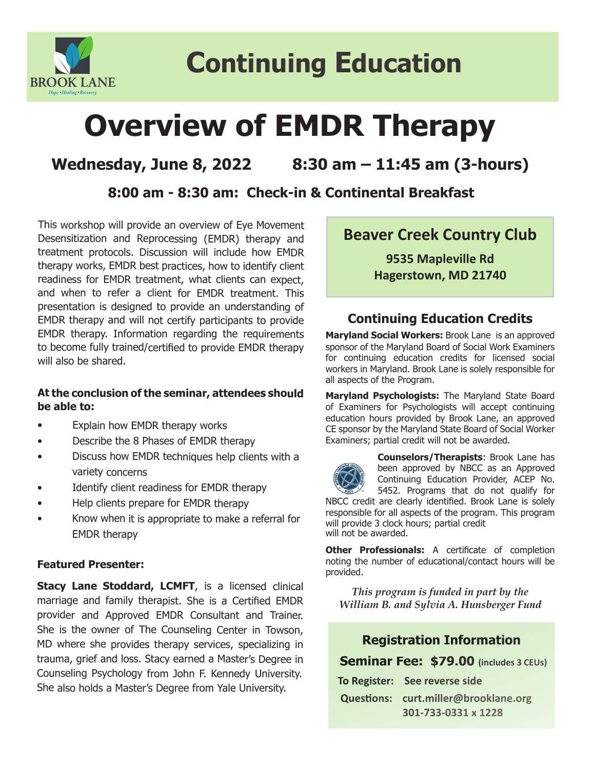

# **Continuing Education**

# **Overview of EMDR Therapy**

# **Wednesday, June 8, 2022 8:30 am – 11:45 am (3-hours)**

### **8:00 am - 8:30 am: Check-in & Continental Breakfast**

This workshop will provide an overview of Eye Movement Desensitization and Reprocessing (EMDR) therapy and treatment protocols. Discussion will include how EMDR therapy works, EMDR best practices, how to identify client readiness for EMDR treatment, what clients can expect, and when to refer a client for EMDR treatment. This presentation is designed to provide an understanding of EMDR therapy and will not certify participants to provide EMDR therapy. Information regarding the requirements to become fully trained/certified to provide EMDR therapy will also be shared.

#### **At the conclusion of the seminar, attendees should be able to:**

- Explain how EMDR therapy works
- Describe the 8 Phases of EMDR therapy
- Discuss how EMDR techniques help clients with a variety concerns
- Identify client readiness for EMDR therapy
- Help clients prepare for EMDR therapy
- Know when it is appropriate to make a referral for EMDR therapy

#### **Featured Presenter:**

**Stacy Lane Stoddard, LCMFT**, is a licensed clinical marriage and family therapist. She is a Certified EMDR provider and Approved EMDR Consultant and Trainer. She is the owner of The Counseling Center in Towson, MD where she provides therapy services, specializing in trauma, grief and loss. Stacy earned a Master's Degree in Counseling Psychology from John F. Kennedy University. She also holds a Master's Degree from Yale University.

## **Beaver Creek Country Club**

**9535 Mapleville Rd Hagerstown, MD 21740**

#### **Continuing Education Credits**

**Maryland Social Workers:** Brook Lane is an approved sponsor of the Maryland Board of Social Work Examiners for continuing education credits for licensed social workers in Maryland. Brook Lane is solely responsible for all aspects of the Program.

**Maryland Psychologists:** The Maryland State Board of Examiners for Psychologists will accept continuing education hours provided by Brook Lane, an approved CE sponsor by the Maryland State Board of Social Worker Examiners; partial credit will not be awarded.



**Counselors/Therapists**: Brook Lane has been approved by NBCC as an Approved Continuing Education Provider, ACEP No. 5452. Programs that do not qualify for

NBCC credit are clearly identified. Brook Lane is solely responsible for all aspects of the program. This program will provide 3 clock hours; partial credit will not be awarded.

**Other Professionals:** A certificate of completion noting the number of educational/contact hours will be provided.

*This program is funded in part by the William B. and Sylvia A. Hunsberger Fund*

#### **Registration Information**

#### **Seminar Fee: \$79.00 (includes 3 CEUs)**

| To Register: See reverse side        |
|--------------------------------------|
| Questions: curt.miller@brooklane.org |
| 301-733-0331 x 1228                  |